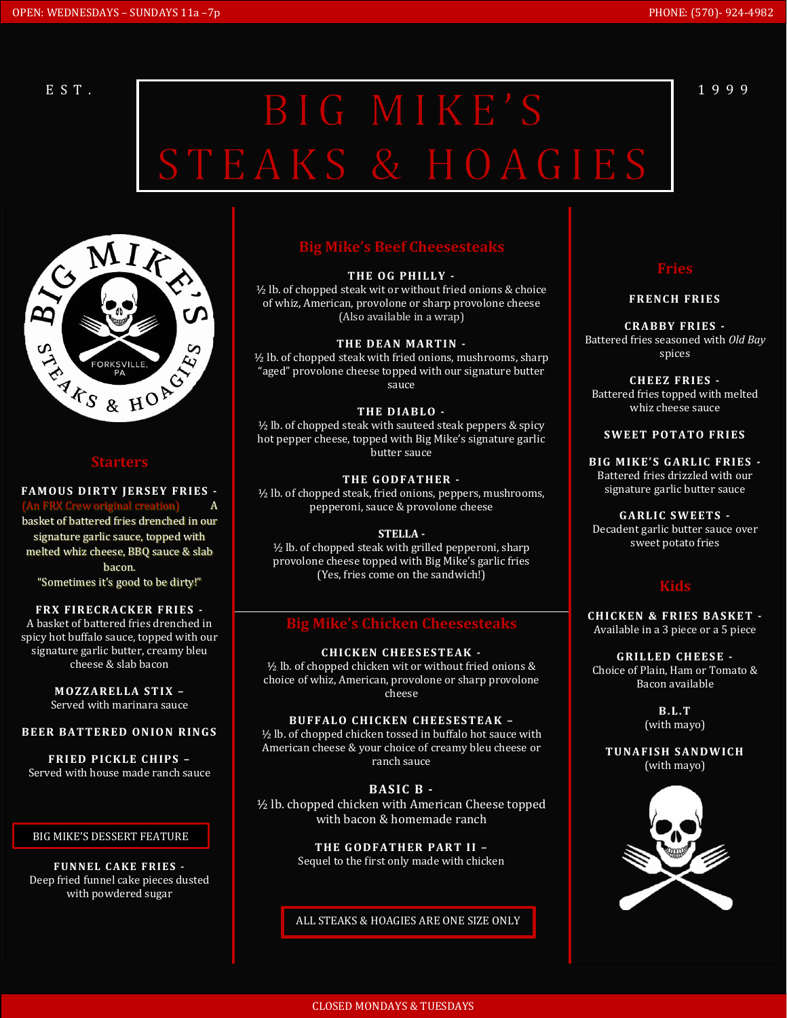# EST. BIG MIKE'S<sup>1999</sup> STEAKS & HOAGIES



**FAMOUS DIRTY JERSEY FRIES -**

(An FRX Crew original creation) A basket of battered fries drenched in our signature garlic sauce, topped with melted whiz cheese, BBQ sauce & slab bacon. "Sometimes it's good to be dirty!"

### **FRX FIRECRACKER FRIES -**

A basket of battered fries drenched in spicy hot buffalo sauce, topped with our signature garlic butter, creamy bleu cheese & slab bacon

> **M OZ Z AR EL LA S T I X –** Served with marinara sauce

### **BEER BATTERED ONION RINGS**

**FRIED PICKLE CHIPS -**Served with house made ranch sauce

#### BIG MIKE'S DESSERT FEATURE

**FUNNEL CAKE FRIES -**Deep fried funnel cake pieces dusted with powdered sugar

## **Big Mike's Beef Cheesesteaks**

#### THE OG PHILLY -

½ lb. of chopped steak wit or without fried onions & choice of whiz, American, provolone or sharp provolone cheese (Also available in a wrap)

**THE DEAN MARTIN -**

½ lb. of chopped steak with fried onions, mushrooms, sharp "aged" provolone cheese topped with our signature butter sauce

### THE DIABLO -

½ lb. of chopped steak with sauteed steak peppers & spicy hot pepper cheese, topped with Big Mike's signature garlic butter sauce

#### **THE GODFATHER -**

½ lb. of chopped steak, fried onions, peppers, mushrooms, pepperoni, sauce & provolone cheese

#### **STELLA -**

½ lb. of chopped steak with grilled pepperoni, sharp provolone cheese topped with Big Mike's garlic fries (Yes, fries come on the sandwich!)

# **ke's Chicken Cheesest**

**CHICKEN CHEESESTEAK -** $\frac{1}{2}$  lb. of chopped chicken wit or without fried onions & choice of whiz, American, provolone or sharp provolone cheese

## **BU F FAL O C HI CK EN C HE E S ES TEA K –**

½ lb. of chopped chicken tossed in buffalo hot sauce with American cheese & your choice of creamy bleu cheese or ranch sauce

**BAS IC B -** ½ lb. chopped chicken with American Cheese topped with bacon & homemade ranch

> **THE GODFATHER PART II -**Sequel to the first only made with chicken

#### ALL STEAKS & HOAGIES ARE ONE SIZE ONLY

#### **FRENCH FRIES**

**CR ABB Y FR IES -** Battered fries seasoned with *Old Bay* spices

**CHEEZ FRIES -**Battered fries topped with melted whiz cheese sauce

#### **SWEET POTATO FRIES**

**BIG MIKE'S GARLIC FRIES -**Battered fries drizzled with our signature garlic butter sauce

**G AR LI C S WE ETS -** Decadent garlic butter sauce over sweet potato fries

## **Kids**

**CHICKEN & FRIES BASKET -**Available in a 3 piece or a 5 piece

**G R IL LED CH EES E -** Choice of Plain, Ham or Tomato & Bacon available

> **B. L. T** (with mayo)

**TUNAFISH SANDWICH** (with mayo)

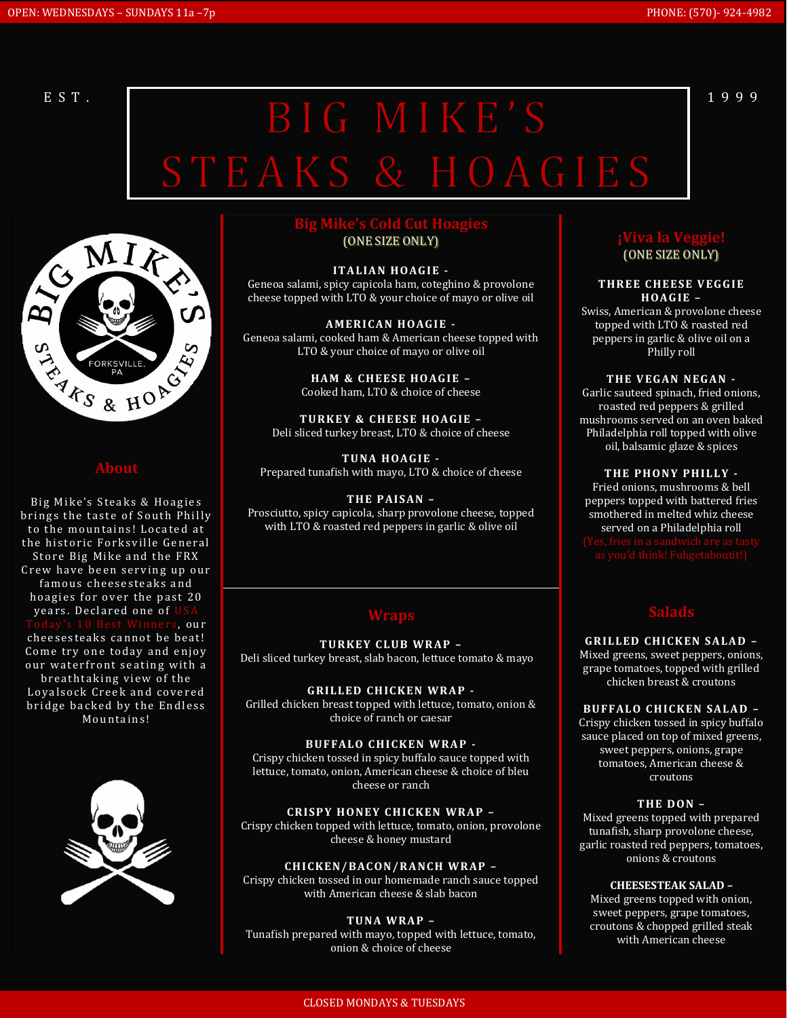# EST. BIG MIKE'S<sup>1999</sup> STEAKS & HOAGIES



## **About**

Big Mike's Steaks & Hoagies brings the taste of South Philly to the mountains! Located at the historic Forksville General Store Big Mike and the FRX Crew have been serving up our famous cheesesteaks and hoagies for over the past 20 years. Declared one of  $\sigma$  our cheesesteaks cannot be beat! Come try one today and enjoy our water front seating with a breathtaking view of the Loyalsock Creek and covered bridge backed by the Endless Mountains!



**Big Mike's Cold Cut Hoagies** (ONE SIZE ONLY)

**ITALIAN HOAGIE -**Geneoa salami, spicy capicola ham, coteghino & provolone cheese topped with LTO & your choice of mayo or olive oil

**AMERICAN HOAGIE -**Geneoa salami, cooked ham & American cheese topped with LTO & your choice of mayo or olive oil

> **HAM & CHEESE HOAGIE -**Cooked ham, LTO & choice of cheese

**TURKEY & CHEESE HOAGIE -**Deli sliced turkey breast, LTO & choice of cheese

**TUNA HOAGIE -**Prepared tunafish with mayo, LTO & choice of cheese

**THE PAISAN -**Prosciutto, spicy capicola, sharp provolone cheese, topped with LTO & roasted red peppers in garlic & olive oil

**TU R KE Y C LU B WR AP –** Deli sliced turkey breast, slab bacon, lettuce tomato & mayo

**GRILLED CHICKEN WRAP -**Grilled chicken breast topped with lettuce, tomato, onion & choice of ranch or caesar

**BUFFALO CHICKEN WRAP -**Crispy chicken tossed in spicy buffalo sauce topped with lettuce, tomato, onion, American cheese & choice of bleu cheese or ranch

**CRISPY HONEY CHICKEN WRAP -**Crispy chicken topped with lettuce, tomato, onion, provolone cheese & honey mustard

**CHI CK EN/ BAC ON/R A NC H WR AP –** Crispy chicken tossed in our homemade ranch sauce topped with American cheese & slab bacon

**TU NA WR A P –** Tunafish prepared with mayo, topped with lettuce, tomato, onion & choice of cheese

## **¡Viva la Veggie!** (ONE SIZE ONLY)

**THREE CHEESE VEGGIE HOAG IE –**

Swiss, American & provolone cheese topped with LTO & roasted red peppers in garlic & olive oil on a Philly roll

**THE VEGAN NEGAN -**Garlic sauteed spinach, fried onions, roasted red peppers & grilled mushrooms served on an oven baked Philadelphia roll topped with olive oil, balsamic glaze & spices

**THE PHONY PHILLY -**Fried onions, mushrooms & bell peppers topped with battered fries smothered in melted whiz cheese served on a Philadelphia roll

**G R IL LED CH ICK EN S A LA D –** Mixed greens, sweet peppers, onions, grape tomatoes, topped with grilled chicken breast & croutons

**BUFFALO CHICKEN SALAD -**Crispy chicken tossed in spicy buffalo sauce placed on top of mixed greens, sweet peppers, onions, grape tomatoes, American cheese & croutons

#### **THE D ON –**

Mixed greens topped with prepared tunafish, sharp provolone cheese, garlic roasted red peppers, tomatoes, onions & croutons

**CHEESESTEAK SALAD –**

Mixed greens topped with onion, sweet peppers, grape tomatoes, croutons & chopped grilled steak with American cheese